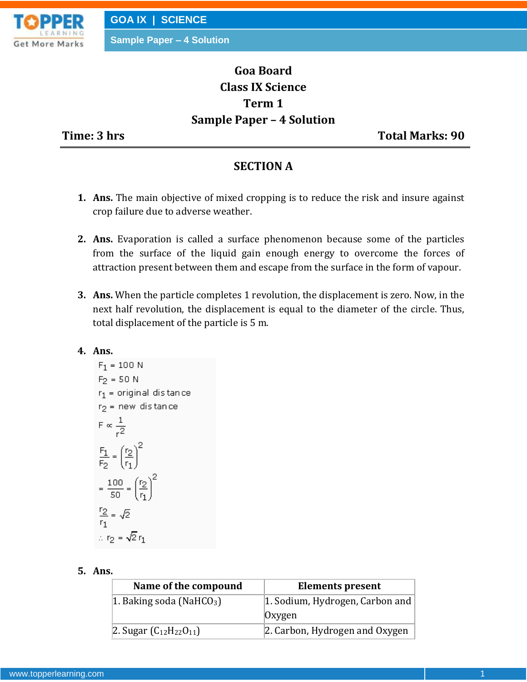

**GOA IX | SCIENCE**

**Sample Paper – 4 Solution**

# **Goa Board Class IX Science Term 1 Sample Paper – 4 Solution**

**Time: 3 hrs** Total Marks: 90

### **SECTION A**

- **1. Ans.** The main objective of mixed cropping is to reduce the risk and insure against crop failure due to adverse weather.
- **2. Ans.** Evaporation is called a surface phenomenon because some of the particles from the surface of the liquid gain enough energy to overcome the forces of attraction present between them and escape from the surface in the form of vapour.
- **3. Ans.** When the particle completes 1 revolution, the displacement is zero. Now, in the next half revolution, the displacement is equal to the diameter of the circle. Thus, total displacement of the particle is 5 m.
- **4. Ans.**

$$
F_1 = 100 \text{ N}
$$
  
\n
$$
F_2 = 50 \text{ N}
$$
  
\n
$$
r_1 = \text{original distance}
$$
  
\n
$$
r_2 = \text{new distance}
$$
  
\n
$$
F \propto \frac{1}{r^2}
$$
  
\n
$$
\frac{F_1}{F_2} = \left(\frac{r_2}{r_1}\right)^2
$$
  
\n
$$
= \frac{100}{50} = \left(\frac{r_2}{r_1}\right)^2
$$
  
\n
$$
\frac{r_2}{r_1} = \sqrt{2}
$$
  
\n
$$
\therefore r_2 = \sqrt{2} r_1
$$

#### **5. Ans.**

| Name of the compound                 | <b>Elements present</b>         |
|--------------------------------------|---------------------------------|
| 1. Baking soda (NaHCO <sub>3</sub> ) | 1. Sodium, Hydrogen, Carbon and |
|                                      | Oxygen                          |
| 2. Sugar $(C_{12}H_{22}O_{11})$      | 2. Carbon, Hydrogen and Oxygen  |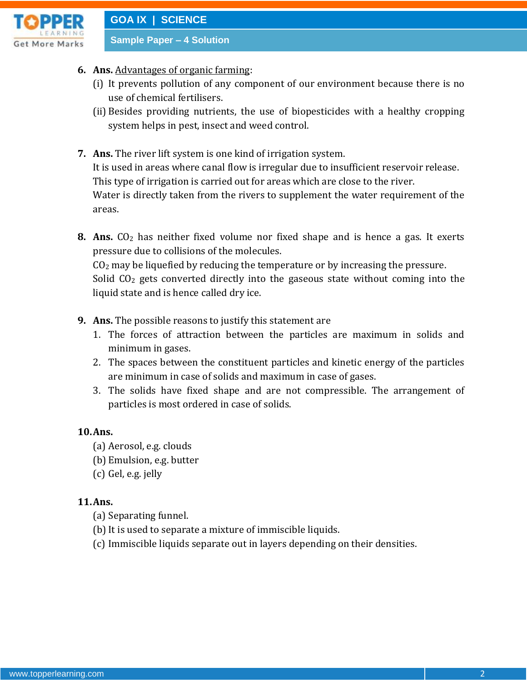

- **6. Ans.** Advantages of organic farming:
	- (i) It prevents pollution of any component of our environment because there is no use of chemical fertilisers.
	- (ii) Besides providing nutrients, the use of biopesticides with a healthy cropping system helps in pest, insect and weed control.
- **7. Ans.** The river lift system is one kind of irrigation system. It is used in areas where canal flow is irregular due to insufficient reservoir release. This type of irrigation is carried out for areas which are close to the river. Water is directly taken from the rivers to supplement the water requirement of the areas.
- **8.** Ans. CO<sub>2</sub> has neither fixed volume nor fixed shape and is hence a gas. It exerts pressure due to collisions of the molecules.

 $CO<sub>2</sub>$  may be liquefied by reducing the temperature or by increasing the pressure. Solid  $CO<sub>2</sub>$  gets converted directly into the gaseous state without coming into the liquid state and is hence called dry ice.

- **9. Ans.** The possible reasons to justify this statement are
	- 1. The forces of attraction between the particles are maximum in solids and minimum in gases.
	- 2. The spaces between the constituent particles and kinetic energy of the particles are minimum in case of solids and maximum in case of gases.
	- 3. The solids have fixed shape and are not compressible. The arrangement of particles is most ordered in case of solids.

#### **10.Ans.**

- (a) Aerosol, e.g. clouds
- (b) Emulsion, e.g. butter
- (c) Gel, e.g. jelly

#### **11.Ans.**

- (a) Separating funnel.
- (b) It is used to separate a mixture of immiscible liquids.
- (c) Immiscible liquids separate out in layers depending on their densities.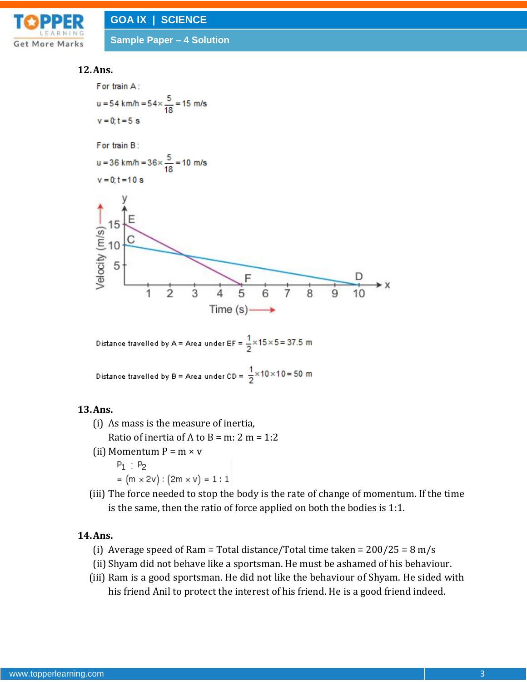



#### **12.Ans.**



Distance travelled by B = Area under CD = 
$$
\frac{1}{2} \times 10 \times 10 = 50
$$
 m

### **13.Ans.**

- (i) As mass is the measure of inertia,
	- Ratio of inertia of A to B = m: 2 m =  $1:2$
- (ii) Momentum  $P = m \times v$ 
	- $P_1$  :  $P_2$
	- $= (m \times 2v) : (2m \times v) = 1 : 1$
- (iii) The force needed to stop the body is the rate of change of momentum. If the time is the same, then the ratio of force applied on both the bodies is 1:1.

#### **14.Ans.**

- (i) Average speed of Ram = Total distance/Total time taken =  $200/25 = 8$  m/s
- (ii) Shyam did not behave like a sportsman. He must be ashamed of his behaviour.
- (iii) Ram is a good sportsman. He did not like the behaviour of Shyam. He sided with his friend Anil to protect the interest of his friend. He is a good friend indeed.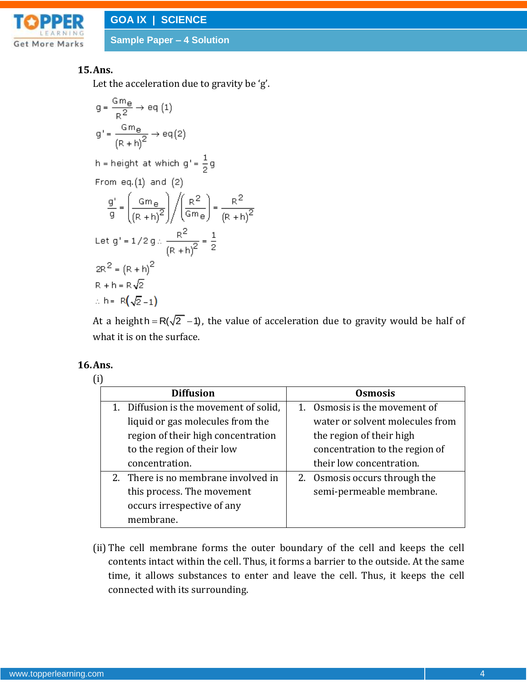

### **15.Ans.**

Let the acceleration due to gravity be 'g'.

$$
g = \frac{Gm_{e}}{R^{2}} \rightarrow eq (1)
$$
  
\n
$$
g' = \frac{Gm_{e}}{(R+h)^{2}} \rightarrow eq(2)
$$
  
\n
$$
h = height at which g' = \frac{1}{2}g
$$
  
\nFrom eq.(1) and (2)  
\n
$$
\frac{g'}{g} = \left(\frac{Gm_{e}}{(R+h)^{2}}\right) / \left(\frac{R^{2}}{Gm_{e}}\right) = \frac{R^{2}}{(R+h)^{2}}
$$
  
\nLet  $g' = 1/2g \times \frac{R^{2}}{(R+h)^{2}} = \frac{1}{2}$   
\n
$$
2R^{2} = (R+h)^{2}
$$
  
\n
$$
R + h = R\sqrt{2}
$$
  
\n
$$
\therefore h = R(\sqrt{2}-1)
$$

At a heighth =  $R(\sqrt{2} - 1)$ , the value of acceleration due to gravity would be half of what it is on the surface.

#### **16.Ans.**

| (i) |                                        |  |                                 |
|-----|----------------------------------------|--|---------------------------------|
|     | <b>Diffusion</b>                       |  | <b>Osmosis</b>                  |
|     | 1. Diffusion is the movement of solid, |  | 1. Osmosis is the movement of   |
|     | liquid or gas molecules from the       |  | water or solvent molecules from |
|     | region of their high concentration     |  | the region of their high        |
|     | to the region of their low             |  | concentration to the region of  |
|     | concentration.                         |  | their low concentration.        |
|     | 2. There is no membrane involved in    |  | 2. Osmosis occurs through the   |
|     | this process. The movement             |  | semi-permeable membrane.        |
|     | occurs irrespective of any             |  |                                 |
|     | membrane.                              |  |                                 |

(ii) The cell membrane forms the outer boundary of the cell and keeps the cell contents intact within the cell. Thus, it forms a barrier to the outside. At the same time, it allows substances to enter and leave the cell. Thus, it keeps the cell connected with its surrounding.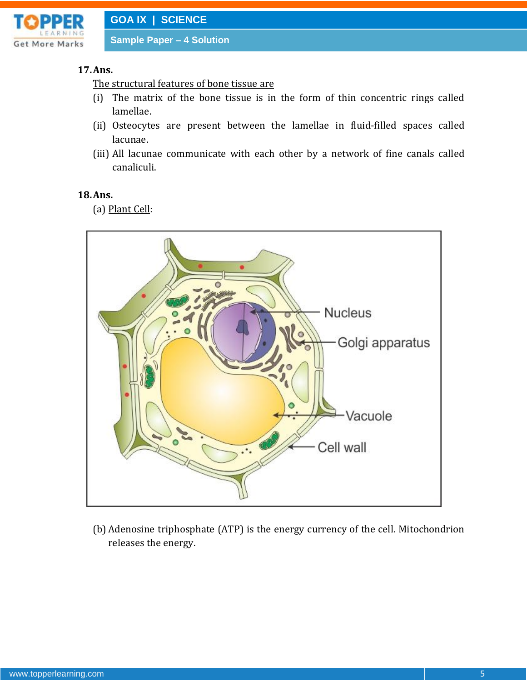

#### **17.Ans.**

The structural features of bone tissue are

- (i) The matrix of the bone tissue is in the form of thin concentric rings called lamellae.
- (ii) Osteocytes are present between the lamellae in fluid-filled spaces called lacunae.
- (iii) All lacunae communicate with each other by a network of fine canals called canaliculi.

#### **18.Ans.**

(a) Plant Cell:



(b) Adenosine triphosphate (ATP) is the energy currency of the cell. Mitochondrion releases the energy.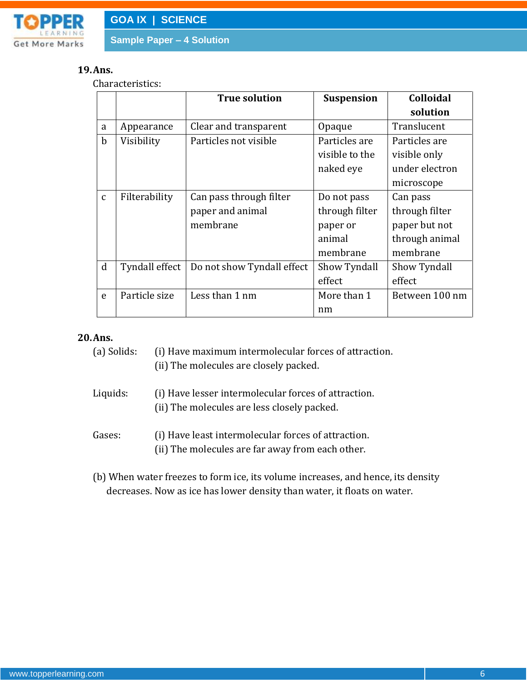

#### **19.Ans.**

Characteristics:

|              |                | <b>True solution</b>       | <b>Suspension</b> | <b>Colloidal</b> |
|--------------|----------------|----------------------------|-------------------|------------------|
|              |                |                            |                   | solution         |
| a            | Appearance     | Clear and transparent      | Opaque            | Translucent      |
| $\mathbf b$  | Visibility     | Particles not visible      | Particles are     | Particles are    |
|              |                |                            | visible to the    | visible only     |
|              |                |                            | naked eye         | under electron   |
|              |                |                            |                   | microscope       |
| $\mathbf{C}$ | Filterability  | Can pass through filter    | Do not pass       | Can pass         |
|              |                | paper and animal           | through filter    | through filter   |
|              |                | membrane                   | paper or          | paper but not    |
|              |                |                            | animal            | through animal   |
|              |                |                            | membrane          | membrane         |
| $\mathbf d$  | Tyndall effect | Do not show Tyndall effect | Show Tyndall      | Show Tyndall     |
|              |                |                            | effect            | effect           |
| e            | Particle size  | Less than 1 nm             | More than 1       | Between 100 nm   |
|              |                |                            | nm                |                  |

### **20.Ans.**

| (a) Solids: | (i) Have maximum intermolecular forces of attraction. |
|-------------|-------------------------------------------------------|
|             | (ii) The molecules are closely packed.                |

- Liquids: (i) Have lesser intermolecular forces of attraction. (ii) The molecules are less closely packed.
- Gases: (i) Have least intermolecular forces of attraction. (ii) The molecules are far away from each other.
- (b) When water freezes to form ice, its volume increases, and hence, its density decreases. Now as ice has lower density than water, it floats on water.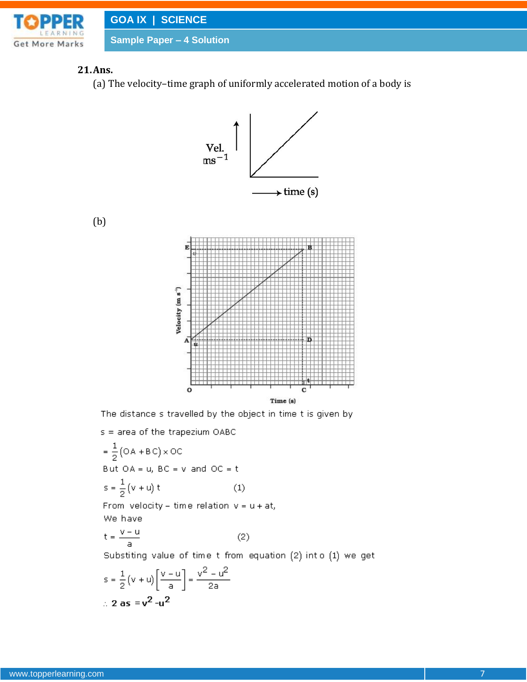

## **21.Ans.**

(b)

(a) The velocity–time graph of uniformly accelerated motion of a body is



The distance s travelled by the object in time t is given by

s = area of the trapezium OABC

$$
= \frac{1}{2} (OA + BC) \times OC
$$
  
But OA = u, BC = v and OC = t  

$$
S = \frac{1}{2} (v + u) t
$$
 (1)  
From velocity - time relation v = u + at,  
We have

$$
t = \frac{v - u}{a} \tag{2}
$$

Substiting value of time t from equation (2) into (1) we get

$$
s = \frac{1}{2}(v + u) \left[ \frac{v - u}{a} \right] = \frac{v^2 - u^2}{2a}
$$
  
:. 2 as = v<sup>2</sup> - u<sup>2</sup>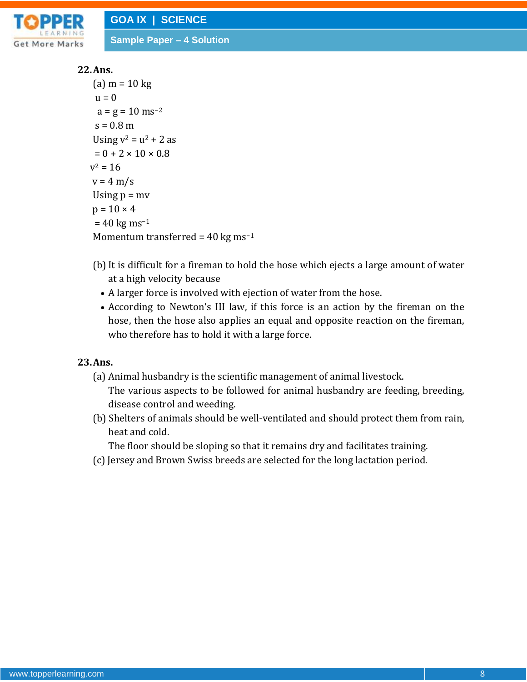

### **22.Ans.**

```
(a) m = 10 kg
 u = 0a = g = 10 ms<sup>-2</sup>
 s = 0.8 m
Using v^2 = u^2 + 2 as
 = 0 + 2 \times 10 \times 0.8v^2 = 16v = 4 m/s
Using p = mvp = 10 \times 4= 40 \text{ kg ms}^{-1}Momentum transferred = 40 \text{ kg} \text{ ms}^{-1}
```
- (b) It is difficult for a fireman to hold the hose which ejects a large amount of water at a high velocity because
	- A larger force is involved with ejection of water from the hose.
	- According to Newton's III law, if this force is an action by the fireman on the hose, then the hose also applies an equal and opposite reaction on the fireman, who therefore has to hold it with a large force.

### **23.Ans.**

- (a) Animal husbandry is the scientific management of animal livestock. The various aspects to be followed for animal husbandry are feeding, breeding, disease control and weeding.
- (b) Shelters of animals should be well-ventilated and should protect them from rain, heat and cold.

The floor should be sloping so that it remains dry and facilitates training.

(c) Jersey and Brown Swiss breeds are selected for the long lactation period.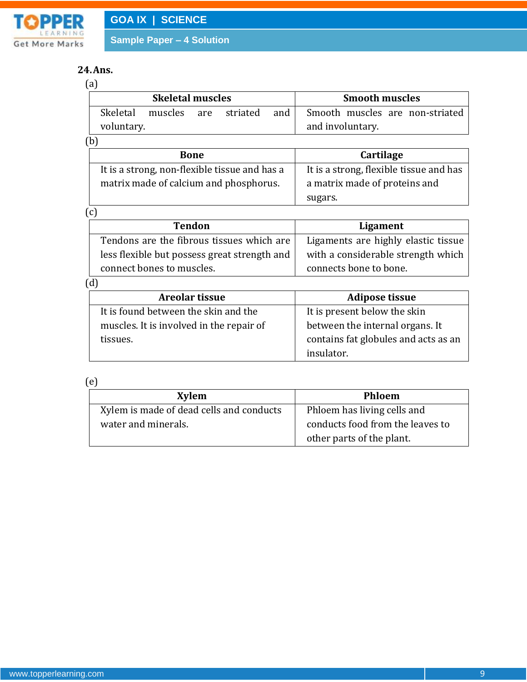

## **24.Ans.**

| (a |                         |                      |  |  |                       |                                                     |
|----|-------------------------|----------------------|--|--|-----------------------|-----------------------------------------------------|
|    | <b>Skeletal muscles</b> |                      |  |  | <b>Smooth muscles</b> |                                                     |
|    | Skeletal<br>voluntary.  | muscles are striated |  |  | and l                 | Smooth muscles are non-striated<br>and involuntary. |

(b)

| <b>Bone</b>                                   | <b>Cartilage</b>                        |
|-----------------------------------------------|-----------------------------------------|
| It is a strong, non-flexible tissue and has a | It is a strong, flexible tissue and has |
| matrix made of calcium and phosphorus.        | a matrix made of proteins and           |
|                                               | sugars.                                 |

(c)

| <b>Tendon</b>                                | Ligament                            |
|----------------------------------------------|-------------------------------------|
| Tendons are the fibrous tissues which are    | Ligaments are highly elastic tissue |
| less flexible but possess great strength and | with a considerable strength which  |
| connect bones to muscles.                    | connects bone to bone.              |

(d)

| Areolar tissue                           | <b>Adipose tissue</b>                |
|------------------------------------------|--------------------------------------|
| It is found between the skin and the     | It is present below the skin         |
| muscles. It is involved in the repair of | between the internal organs. It      |
| tissues.                                 | contains fat globules and acts as an |
|                                          | insulator.                           |

(e)

| <b>Xylem</b>                             | <b>Phloem</b>                    |
|------------------------------------------|----------------------------------|
| Xylem is made of dead cells and conducts | Phloem has living cells and      |
| water and minerals.                      | conducts food from the leaves to |
|                                          | other parts of the plant.        |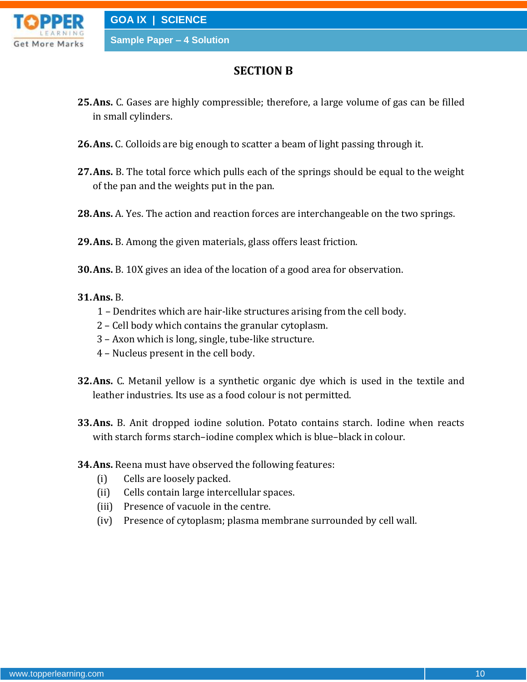

# **SECTION B**

- **25.Ans.** C. Gases are highly compressible; therefore, a large volume of gas can be filled in small cylinders.
- **26.Ans.** C. Colloids are big enough to scatter a beam of light passing through it.
- **27.Ans.** B. The total force which pulls each of the springs should be equal to the weight of the pan and the weights put in the pan.
- **28.Ans.** A. Yes. The action and reaction forces are interchangeable on the two springs.
- **29.Ans.** B. Among the given materials, glass offers least friction.
- **30.Ans.** B. 10X gives an idea of the location of a good area for observation.

### **31.Ans.** B.

- 1 Dendrites which are hair-like structures arising from the cell body.
- 2 Cell body which contains the granular cytoplasm.
- 3 Axon which is long, single, tube-like structure.
- 4 Nucleus present in the cell body.
- **32.Ans.** C. Metanil yellow is a synthetic organic dye which is used in the textile and leather industries. Its use as a food colour is not permitted.
- **33.Ans.** B. Anit dropped iodine solution. Potato contains starch. Iodine when reacts with starch forms starch–iodine complex which is blue–black in colour.
- **34.Ans.** Reena must have observed the following features:
	- (i) Cells are loosely packed.
	- (ii) Cells contain large intercellular spaces.
	- (iii) Presence of vacuole in the centre.
	- (iv) Presence of cytoplasm; plasma membrane surrounded by cell wall.